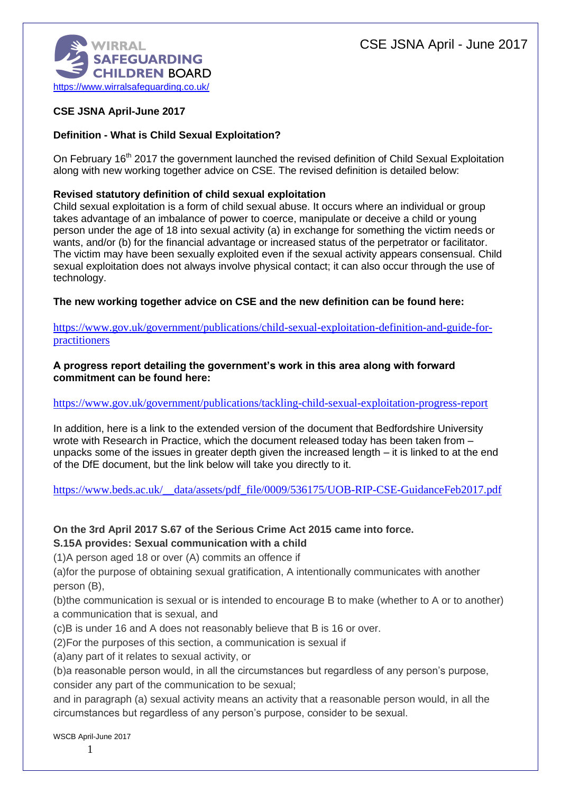

## **CSE JSNA April-June 2017**

### **Definition - What is Child Sexual Exploitation?**

On February 16<sup>th</sup> 2017 the government launched the revised definition of Child Sexual Exploitation along with new working together advice on CSE. The revised definition is detailed below:

### **Revised statutory definition of child sexual exploitation**

Child sexual exploitation is a form of child sexual abuse. It occurs where an individual or group takes advantage of an imbalance of power to coerce, manipulate or deceive a child or young person under the age of 18 into sexual activity (a) in exchange for something the victim needs or wants, and/or (b) for the financial advantage or increased status of the perpetrator or facilitator. The victim may have been sexually exploited even if the sexual activity appears consensual. Child sexual exploitation does not always involve physical contact; it can also occur through the use of technology.

**The new working together advice on CSE and the new definition can be found here:**

[https://www.gov.uk/government/publications/child-sexual-exploitation-definition-and-guide-for](https://www.gov.uk/government/publications/child-sexual-exploitation-definition-and-guide-for-practitioners)[practitioners](https://www.gov.uk/government/publications/child-sexual-exploitation-definition-and-guide-for-practitioners)

#### **A progress report detailing the government's work in this area along with forward commitment can be found here:**

### <https://www.gov.uk/government/publications/tackling-child-sexual-exploitation-progress-report>

In addition, here is a link to the extended version of the document that Bedfordshire University wrote with Research in Practice, which the document released today has been taken from – unpacks some of the issues in greater depth given the increased length – it is linked to at the end of the DfE document, but the link below will take you directly to it.

https://www.beds.ac.uk/ data/assets/pdf\_file/0009/536175/UOB-RIP-CSE-GuidanceFeb2017.pdf

### **On the 3rd April 2017 S.67 of the Serious Crime Act 2015 came into force.**

**S.15A provides: Sexual communication with a child**

(1)A person aged 18 or over (A) commits an offence if

(a)for the purpose of obtaining sexual gratification, A intentionally communicates with another person (B),

(b)the communication is sexual or is intended to encourage B to make (whether to A or to another) a communication that is sexual, and

(c)B is under 16 and A does not reasonably believe that B is 16 or over.

(2)For the purposes of this section, a communication is sexual if

(a)any part of it relates to sexual activity, or

(b)a reasonable person would, in all the circumstances but regardless of any person's purpose, consider any part of the communication to be sexual;

and in paragraph (a) sexual activity means an activity that a reasonable person would, in all the circumstances but regardless of any person's purpose, consider to be sexual.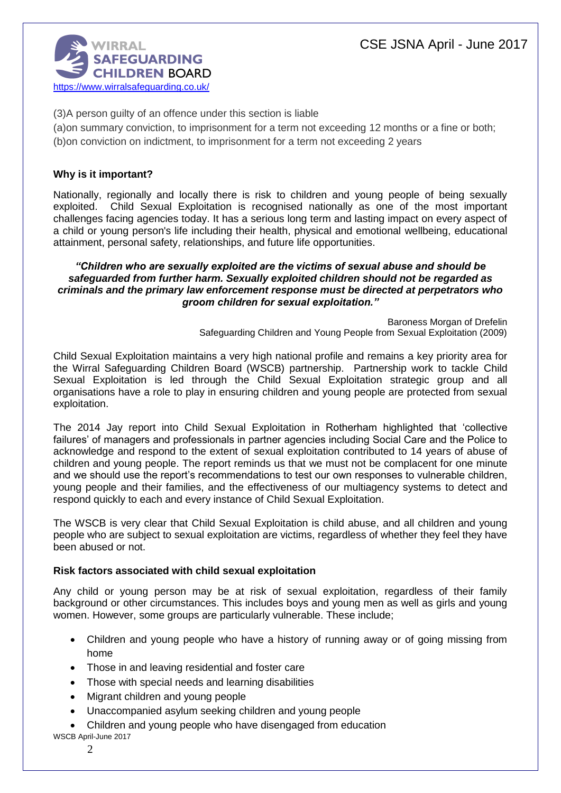

(3)A person guilty of an offence under this section is liable

(a)on summary conviction, to imprisonment for a term not exceeding 12 months or a fine or both; (b)on conviction on indictment, to imprisonment for a term not exceeding 2 years

### **Why is it important?**

Nationally, regionally and locally there is risk to children and young people of being sexually exploited. Child Sexual Exploitation is recognised nationally as one of the most important challenges facing agencies today. It has a serious long term and lasting impact on every aspect of a child or young person's life including their health, physical and emotional wellbeing, educational attainment, personal safety, relationships, and future life opportunities.

#### *"Children who are sexually exploited are the victims of sexual abuse and should be safeguarded from further harm. Sexually exploited children should not be regarded as criminals and the primary law enforcement response must be directed at perpetrators who groom children for sexual exploitation."*

Baroness Morgan of Drefelin Safeguarding Children and Young People from Sexual Exploitation (2009)

Child Sexual Exploitation maintains a very high national profile and remains a key priority area for the Wirral Safeguarding Children Board (WSCB) partnership. Partnership work to tackle Child Sexual Exploitation is led through the Child Sexual Exploitation strategic group and all organisations have a role to play in ensuring children and young people are protected from sexual exploitation.

The 2014 Jay report into Child Sexual Exploitation in Rotherham highlighted that 'collective failures' of managers and professionals in partner agencies including Social Care and the Police to acknowledge and respond to the extent of sexual exploitation contributed to 14 years of abuse of children and young people. The report reminds us that we must not be complacent for one minute and we should use the report's recommendations to test our own responses to vulnerable children, young people and their families, and the effectiveness of our multiagency systems to detect and respond quickly to each and every instance of Child Sexual Exploitation.

The WSCB is very clear that Child Sexual Exploitation is child abuse, and all children and young people who are subject to sexual exploitation are victims, regardless of whether they feel they have been abused or not.

#### **Risk factors associated with child sexual exploitation**

Any child or young person may be at risk of sexual exploitation, regardless of their family background or other circumstances. This includes boys and young men as well as girls and young women. However, some groups are particularly vulnerable. These include;

- Children and young people who have a history of running away or of going missing from home
- Those in and leaving residential and foster care
- Those with special needs and learning disabilities
- Migrant children and young people
- Unaccompanied asylum seeking children and young people
- Children and young people who have disengaged from education
- WSCB April-June 2017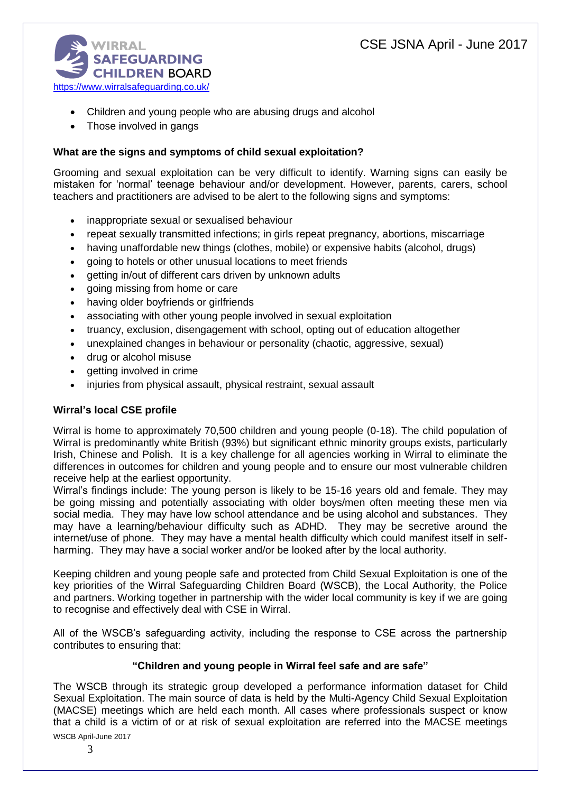

- Children and young people who are abusing drugs and alcohol
- Those involved in gangs

### **What are the signs and symptoms of child sexual exploitation?**

Grooming and sexual exploitation can be very difficult to identify. Warning signs can easily be mistaken for 'normal' teenage behaviour and/or development. However, parents, carers, school teachers and practitioners are advised to be alert to the following signs and symptoms:

- inappropriate sexual or sexualised behaviour
- repeat sexually transmitted infections; in girls repeat pregnancy, abortions, miscarriage
- having unaffordable new things (clothes, mobile) or expensive habits (alcohol, drugs)
- going to hotels or other unusual locations to meet friends
- getting in/out of different cars driven by unknown adults
- going missing from home or care
- having older boyfriends or girlfriends
- associating with other young people involved in sexual exploitation
- truancy, exclusion, disengagement with school, opting out of education altogether
- unexplained changes in behaviour or personality (chaotic, aggressive, sexual)
- drug or alcohol misuse
- getting involved in crime
- injuries from physical assault, physical restraint, sexual assault

### **Wirral's local CSE profile**

Wirral is home to approximately 70,500 children and young people (0-18). The child population of Wirral is predominantly white British (93%) but significant ethnic minority groups exists, particularly Irish, Chinese and Polish. It is a key challenge for all agencies working in Wirral to eliminate the differences in outcomes for children and young people and to ensure our most vulnerable children receive help at the earliest opportunity.

Wirral's findings include: The young person is likely to be 15-16 years old and female. They may be going missing and potentially associating with older boys/men often meeting these men via social media. They may have low school attendance and be using alcohol and substances. They may have a learning/behaviour difficulty such as ADHD. They may be secretive around the internet/use of phone. They may have a mental health difficulty which could manifest itself in selfharming. They may have a social worker and/or be looked after by the local authority.

Keeping children and young people safe and protected from Child Sexual Exploitation is one of the key priorities of the Wirral Safeguarding Children Board (WSCB), the Local Authority, the Police and partners. Working together in partnership with the wider local community is key if we are going to recognise and effectively deal with CSE in Wirral.

All of the WSCB's safeguarding activity, including the response to CSE across the partnership contributes to ensuring that:

#### **"Children and young people in Wirral feel safe and are safe"**

WSCB April-June 2017 The WSCB through its strategic group developed a performance information dataset for Child Sexual Exploitation. The main source of data is held by the Multi-Agency Child Sexual Exploitation (MACSE) meetings which are held each month. All cases where professionals suspect or know that a child is a victim of or at risk of sexual exploitation are referred into the MACSE meetings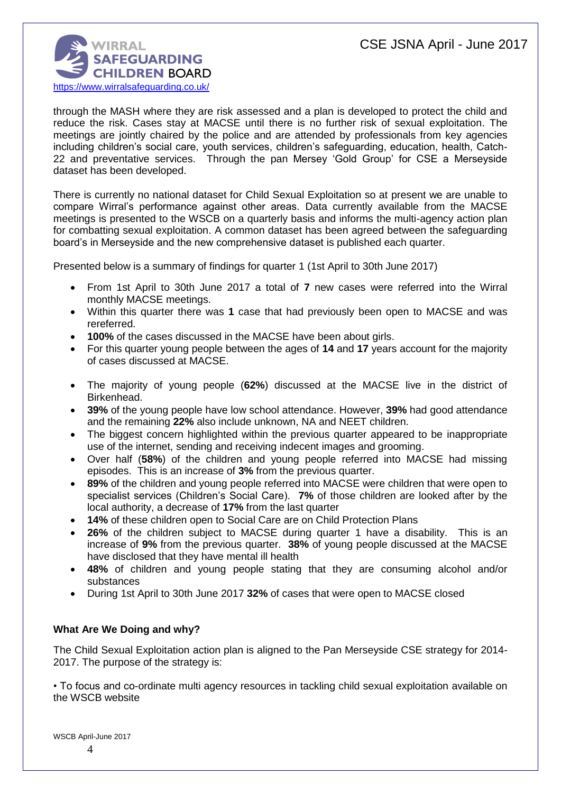

through the MASH where they are risk assessed and a plan is developed to protect the child and reduce the risk. Cases stay at MACSE until there is no further risk of sexual exploitation. The meetings are jointly chaired by the police and are attended by professionals from key agencies including children's social care, youth services, children's safeguarding, education, health, Catch-22 and preventative services. Through the pan Mersey 'Gold Group' for CSE a Merseyside dataset has been developed.

There is currently no national dataset for Child Sexual Exploitation so at present we are unable to compare Wirral's performance against other areas. Data currently available from the MACSE meetings is presented to the WSCB on a quarterly basis and informs the multi-agency action plan for combatting sexual exploitation. A common dataset has been agreed between the safeguarding board's in Merseyside and the new comprehensive dataset is published each quarter.

Presented below is a summary of findings for quarter 1 (1st April to 30th June 2017)

- From 1st April to 30th June 2017 a total of **7** new cases were referred into the Wirral monthly MACSE meetings.
- Within this quarter there was **1** case that had previously been open to MACSE and was rereferred.
- **100%** of the cases discussed in the MACSE have been about girls.
- For this quarter young people between the ages of **14** and **17** years account for the majority of cases discussed at MACSE.
- The majority of young people (**62%**) discussed at the MACSE live in the district of Birkenhead.
- **39%** of the young people have low school attendance. However, **39%** had good attendance and the remaining **22%** also include unknown, NA and NEET children.
- The biggest concern highlighted within the previous quarter appeared to be inappropriate use of the internet, sending and receiving indecent images and grooming.
- Over half (**58%**) of the children and young people referred into MACSE had missing episodes. This is an increase of **3%** from the previous quarter.
- **89%** of the children and young people referred into MACSE were children that were open to specialist services (Children's Social Care). **7%** of those children are looked after by the local authority, a decrease of **17%** from the last quarter
- **14%** of these children open to Social Care are on Child Protection Plans
- **26%** of the children subject to MACSE during quarter 1 have a disability. This is an increase of **9%** from the previous quarter. **38%** of young people discussed at the MACSE have disclosed that they have mental ill health
- **48%** of children and young people stating that they are consuming alcohol and/or substances
- During 1st April to 30th June 2017 **32%** of cases that were open to MACSE closed

### **What Are We Doing and why?**

The Child Sexual Exploitation action plan is aligned to the Pan Merseyside CSE strategy for 2014- 2017. The purpose of the strategy is:

• To focus and co-ordinate multi agency resources in tackling child sexual exploitation available on the WSCB website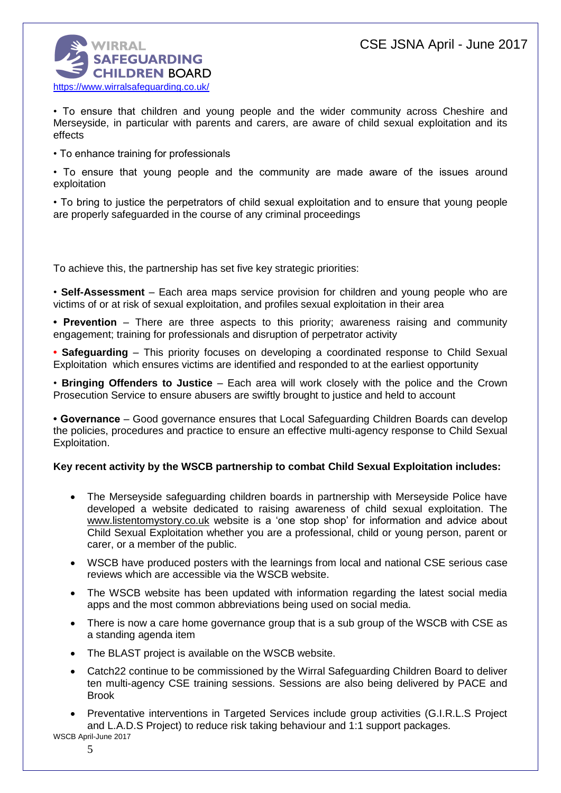

• To ensure that children and young people and the wider community across Cheshire and Merseyside, in particular with parents and carers, are aware of child sexual exploitation and its effects

• To enhance training for professionals

• To ensure that young people and the community are made aware of the issues around exploitation

• To bring to justice the perpetrators of child sexual exploitation and to ensure that young people are properly safeguarded in the course of any criminal proceedings

To achieve this, the partnership has set five key strategic priorities:

• **Self-Assessment** – Each area maps service provision for children and young people who are victims of or at risk of sexual exploitation, and profiles sexual exploitation in their area

**• Prevention** – There are three aspects to this priority; awareness raising and community engagement; training for professionals and disruption of perpetrator activity

**• Safeguarding** – This priority focuses on developing a coordinated response to Child Sexual Exploitation which ensures victims are identified and responded to at the earliest opportunity

• **Bringing Offenders to Justice** – Each area will work closely with the police and the Crown Prosecution Service to ensure abusers are swiftly brought to justice and held to account

**• Governance** – Good governance ensures that Local Safeguarding Children Boards can develop the policies, procedures and practice to ensure an effective multi-agency response to Child Sexual Exploitation.

### **Key recent activity by the WSCB partnership to combat Child Sexual Exploitation includes:**

- The Merseyside safeguarding children boards in partnership with Merseyside Police have developed a website dedicated to raising awareness of child sexual exploitation. The [www.listentomystory.co.uk](http://www.listentomystory.co.uk/) website is a 'one stop shop' for information and advice about Child Sexual Exploitation whether you are a professional, child or young person, parent or carer, or a member of the public.
- WSCB have produced posters with the learnings from local and national CSE serious case reviews which are accessible via the WSCB website.
- The WSCB website has been updated with information regarding the latest social media apps and the most common abbreviations being used on social media.
- There is now a care home governance group that is a sub group of the WSCB with CSE as a standing agenda item
- The BLAST project is available on the WSCB website.
- Catch22 continue to be commissioned by the Wirral Safeguarding Children Board to deliver ten multi-agency CSE training sessions. Sessions are also being delivered by PACE and Brook
- Preventative interventions in Targeted Services include group activities (G.I.R.L.S Project and L.A.D.S Project) to reduce risk taking behaviour and 1:1 support packages.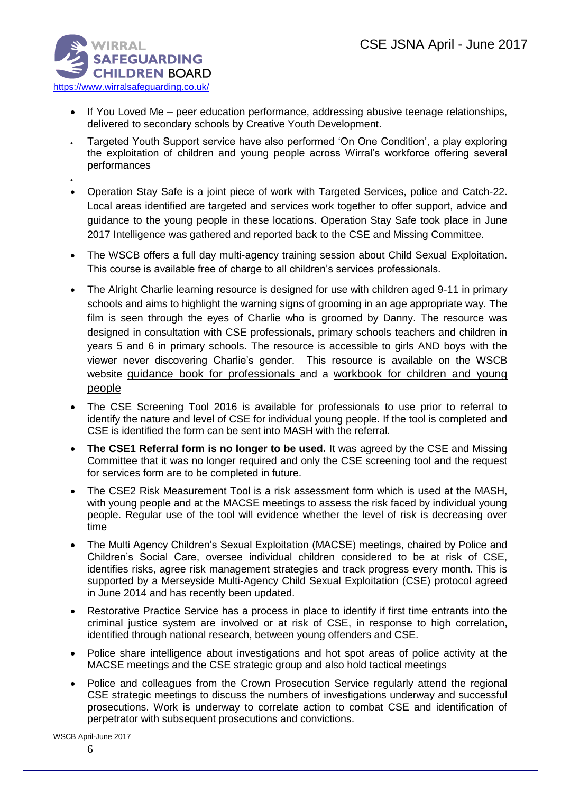

 $\bullet$ 

- If You Loved Me peer education performance, addressing abusive teenage relationships, delivered to secondary schools by Creative Youth Development.
- Targeted Youth Support service have also performed 'On One Condition', a play exploring the exploitation of children and young people across Wirral's workforce offering several performances
- Operation Stay Safe is a joint piece of work with Targeted Services, police and Catch-22. Local areas identified are targeted and services work together to offer support, advice and guidance to the young people in these locations. Operation Stay Safe took place in June 2017 Intelligence was gathered and reported back to the CSE and Missing Committee.
- The WSCB offers a full day multi-agency training session about Child Sexual Exploitation. This course is available free of charge to all children's services professionals.
- The Alright Charlie learning resource is designed for use with children aged 9-11 in primary schools and aims to highlight the warning signs of grooming in an age appropriate way. The film is seen through the eyes of Charlie who is groomed by Danny. The resource was designed in consultation with CSE professionals, primary schools teachers and children in years 5 and 6 in primary schools. The resource is accessible to girls AND boys with the viewer never discovering Charlie's gender. This resource is available on the WSCB website [guidance book for professionals](http://www.wirralsafeguarding.co.uk/wp-content/uploads/2016/02/alright-charlie-professionals-guidance.pdf) and a workbook for children and young people
- The CSE Screening Tool 2016 is available for professionals to use prior to referral to identify the nature and level of CSE for individual young people. If the tool is completed and CSE is identified the form can be sent into MASH with the referral.
- **The CSE1 Referral form is no longer to be used.** It was agreed by the CSE and Missing Committee that it was no longer required and only the CSE screening tool and the request for services form are to be completed in future.
- The CSE2 Risk Measurement Tool is a risk assessment form which is used at the MASH, with young people and at the MACSE meetings to assess the risk faced by individual young people. Regular use of the tool will evidence whether the level of risk is decreasing over time
- The Multi Agency Children's Sexual Exploitation (MACSE) meetings, chaired by Police and Children's Social Care, oversee individual children considered to be at risk of CSE, identifies risks, agree risk management strategies and track progress every month. This is supported by a Merseyside Multi-Agency Child Sexual Exploitation (CSE) protocol agreed in June 2014 and has recently been updated.
- Restorative Practice Service has a process in place to identify if first time entrants into the criminal justice system are involved or at risk of CSE, in response to high correlation, identified through national research, between young offenders and CSE.
- Police share intelligence about investigations and hot spot areas of police activity at the MACSE meetings and the CSE strategic group and also hold tactical meetings
- Police and colleagues from the Crown Prosecution Service regularly attend the regional CSE strategic meetings to discuss the numbers of investigations underway and successful prosecutions. Work is underway to correlate action to combat CSE and identification of perpetrator with subsequent prosecutions and convictions.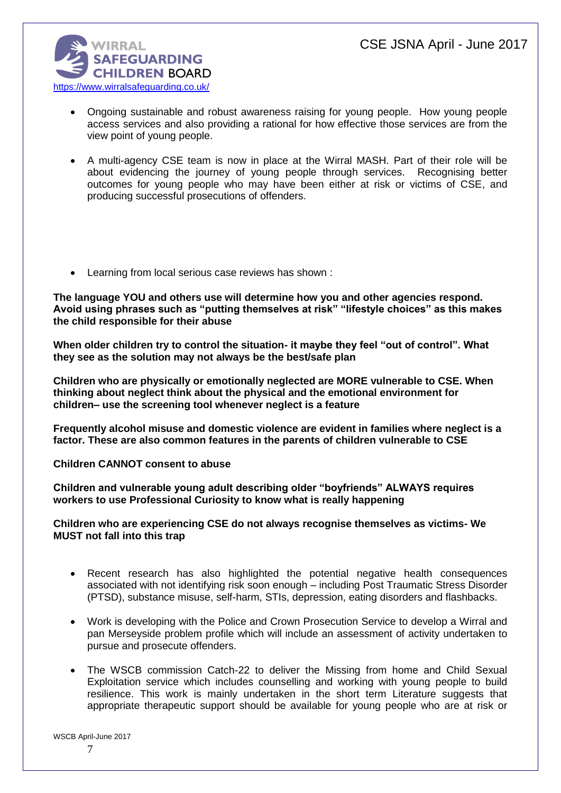

- Ongoing sustainable and robust awareness raising for young people. How young people access services and also providing a rational for how effective those services are from the view point of young people.
- A multi-agency CSE team is now in place at the Wirral MASH. Part of their role will be about evidencing the journey of young people through services. Recognising better outcomes for young people who may have been either at risk or victims of CSE, and producing successful prosecutions of offenders.
- Learning from local serious case reviews has shown :

**The language YOU and others use will determine how you and other agencies respond. Avoid using phrases such as "putting themselves at risk" "lifestyle choices" as this makes the child responsible for their abuse** 

**When older children try to control the situation- it maybe they feel "out of control". What they see as the solution may not always be the best/safe plan** 

**Children who are physically or emotionally neglected are MORE vulnerable to CSE. When thinking about neglect think about the physical and the emotional environment for children– use the screening tool whenever neglect is a feature** 

**Frequently alcohol misuse and domestic violence are evident in families where neglect is a factor. These are also common features in the parents of children vulnerable to CSE** 

**Children CANNOT consent to abuse** 

**Children and vulnerable young adult describing older "boyfriends" ALWAYS requires workers to use Professional Curiosity to know what is really happening** 

#### **Children who are experiencing CSE do not always recognise themselves as victims- We MUST not fall into this trap**

- Recent research has also highlighted the potential negative health consequences associated with not identifying risk soon enough – including Post Traumatic Stress Disorder (PTSD), substance misuse, self-harm, STIs, depression, eating disorders and flashbacks.
- Work is developing with the Police and Crown Prosecution Service to develop a Wirral and pan Merseyside problem profile which will include an assessment of activity undertaken to pursue and prosecute offenders.
- The WSCB commission Catch-22 to deliver the Missing from home and Child Sexual Exploitation service which includes counselling and working with young people to build resilience. This work is mainly undertaken in the short term Literature suggests that appropriate therapeutic support should be available for young people who are at risk or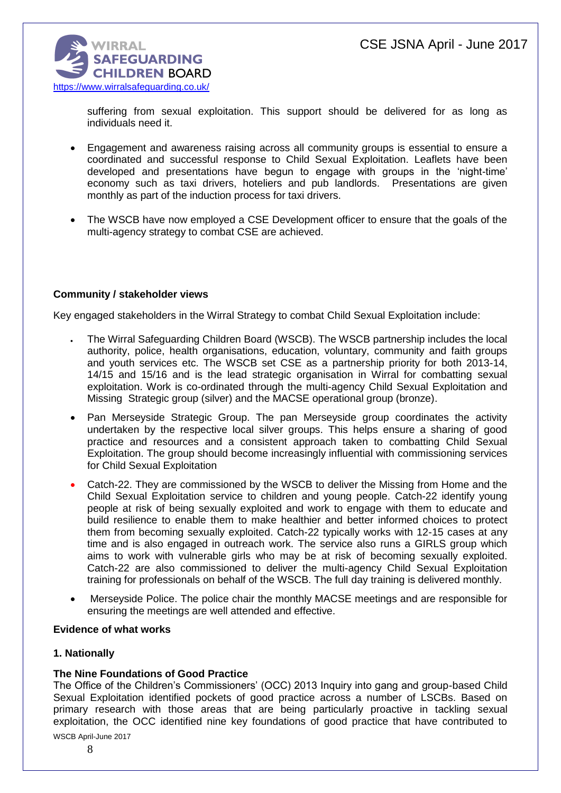

suffering from sexual exploitation. This support should be delivered for as long as individuals need it.

- Engagement and awareness raising across all community groups is essential to ensure a coordinated and successful response to Child Sexual Exploitation. Leaflets have been developed and presentations have begun to engage with groups in the 'night-time' economy such as taxi drivers, hoteliers and pub landlords. Presentations are given monthly as part of the induction process for taxi drivers.
- The WSCB have now employed a CSE Development officer to ensure that the goals of the multi-agency strategy to combat CSE are achieved.

#### **Community / stakeholder views**

Key engaged stakeholders in the Wirral Strategy to combat Child Sexual Exploitation include:

- The Wirral Safeguarding Children Board (WSCB). The WSCB partnership includes the local authority, police, health organisations, education, voluntary, community and faith groups and youth services etc. The WSCB set CSE as a partnership priority for both 2013-14, 14/15 and 15/16 and is the lead strategic organisation in Wirral for combatting sexual exploitation. Work is co-ordinated through the multi-agency Child Sexual Exploitation and Missing Strategic group (silver) and the MACSE operational group (bronze).
- Pan Merseyside Strategic Group. The pan Merseyside group coordinates the activity undertaken by the respective local silver groups. This helps ensure a sharing of good practice and resources and a consistent approach taken to combatting Child Sexual Exploitation. The group should become increasingly influential with commissioning services for Child Sexual Exploitation
- Catch-22. They are commissioned by the WSCB to deliver the Missing from Home and the Child Sexual Exploitation service to children and young people. Catch-22 identify young people at risk of being sexually exploited and work to engage with them to educate and build resilience to enable them to make healthier and better informed choices to protect them from becoming sexually exploited. Catch-22 typically works with 12-15 cases at any time and is also engaged in outreach work. The service also runs a GIRLS group which aims to work with vulnerable girls who may be at risk of becoming sexually exploited. Catch-22 are also commissioned to deliver the multi-agency Child Sexual Exploitation training for professionals on behalf of the WSCB. The full day training is delivered monthly.
- Merseyside Police. The police chair the monthly MACSE meetings and are responsible for ensuring the meetings are well attended and effective.

#### **Evidence of what works**

#### **1. Nationally**

# **The Nine Foundations of Good Practice**

The Office of the Children's Commissioners' (OCC) 2013 Inquiry into gang and group-based Child Sexual Exploitation identified pockets of good practice across a number of LSCBs. Based on primary research with those areas that are being particularly proactive in tackling sexual exploitation, the OCC identified nine key foundations of good practice that have contributed to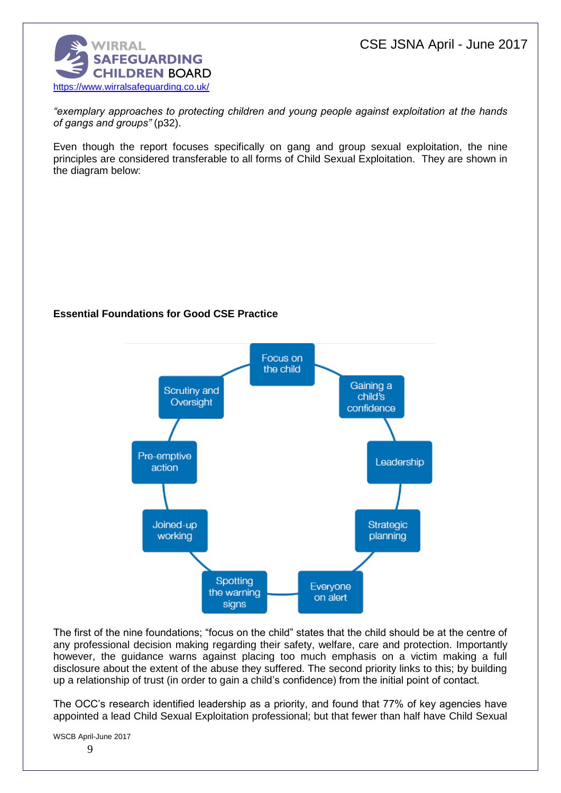CSE JSNA April - June 2017



*"exemplary approaches to protecting children and young people against exploitation at the hands of gangs and groups"* (p32).

Even though the report focuses specifically on gang and group sexual exploitation, the nine principles are considered transferable to all forms of Child Sexual Exploitation. They are shown in the diagram below:

### **Essential Foundations for Good CSE Practice**



The first of the nine foundations; "focus on the child" states that the child should be at the centre of any professional decision making regarding their safety, welfare, care and protection. Importantly however, the guidance warns against placing too much emphasis on a victim making a full disclosure about the extent of the abuse they suffered. The second priority links to this; by building up a relationship of trust (in order to gain a child's confidence) from the initial point of contact.

The OCC's research identified leadership as a priority, and found that 77% of key agencies have appointed a lead Child Sexual Exploitation professional; but that fewer than half have Child Sexual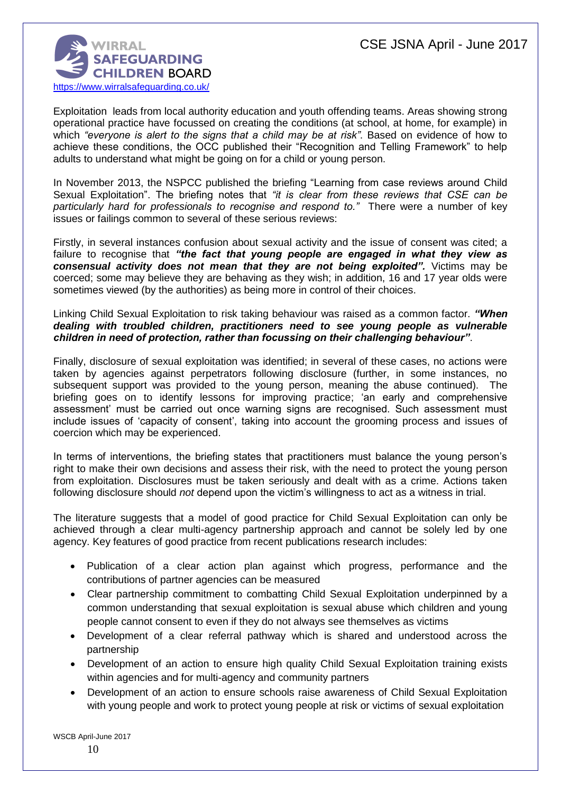

Exploitation leads from local authority education and youth offending teams. Areas showing strong operational practice have focussed on creating the conditions (at school, at home, for example) in which *"everyone is alert to the signs that a child may be at risk"*. Based on evidence of how to achieve these conditions, the OCC published their "Recognition and Telling Framework" to help adults to understand what might be going on for a child or young person.

In November 2013, the NSPCC published the briefing "Learning from case reviews around Child Sexual Exploitation". The briefing notes that *"it is clear from these reviews that CSE can be particularly hard for professionals to recognise and respond to."* There were a number of key issues or failings common to several of these serious reviews:

Firstly, in several instances confusion about sexual activity and the issue of consent was cited; a failure to recognise that *"the fact that young people are engaged in what they view as consensual activity does not mean that they are not being exploited".* Victims may be coerced; some may believe they are behaving as they wish; in addition, 16 and 17 year olds were sometimes viewed (by the authorities) as being more in control of their choices.

#### Linking Child Sexual Exploitation to risk taking behaviour was raised as a common factor. *"When dealing with troubled children, practitioners need to see young people as vulnerable children in need of protection, rather than focussing on their challenging behaviour"*.

Finally, disclosure of sexual exploitation was identified; in several of these cases, no actions were taken by agencies against perpetrators following disclosure (further, in some instances, no subsequent support was provided to the young person, meaning the abuse continued). The briefing goes on to identify lessons for improving practice; 'an early and comprehensive assessment' must be carried out once warning signs are recognised. Such assessment must include issues of 'capacity of consent', taking into account the grooming process and issues of coercion which may be experienced.

In terms of interventions, the briefing states that practitioners must balance the young person's right to make their own decisions and assess their risk, with the need to protect the young person from exploitation. Disclosures must be taken seriously and dealt with as a crime. Actions taken following disclosure should *not* depend upon the victim's willingness to act as a witness in trial.

The literature suggests that a model of good practice for Child Sexual Exploitation can only be achieved through a clear multi-agency partnership approach and cannot be solely led by one agency. Key features of good practice from recent publications research includes:

- Publication of a clear action plan against which progress, performance and the contributions of partner agencies can be measured
- Clear partnership commitment to combatting Child Sexual Exploitation underpinned by a common understanding that sexual exploitation is sexual abuse which children and young people cannot consent to even if they do not always see themselves as victims
- Development of a clear referral pathway which is shared and understood across the partnership
- Development of an action to ensure high quality Child Sexual Exploitation training exists within agencies and for multi-agency and community partners
- Development of an action to ensure schools raise awareness of Child Sexual Exploitation with young people and work to protect young people at risk or victims of sexual exploitation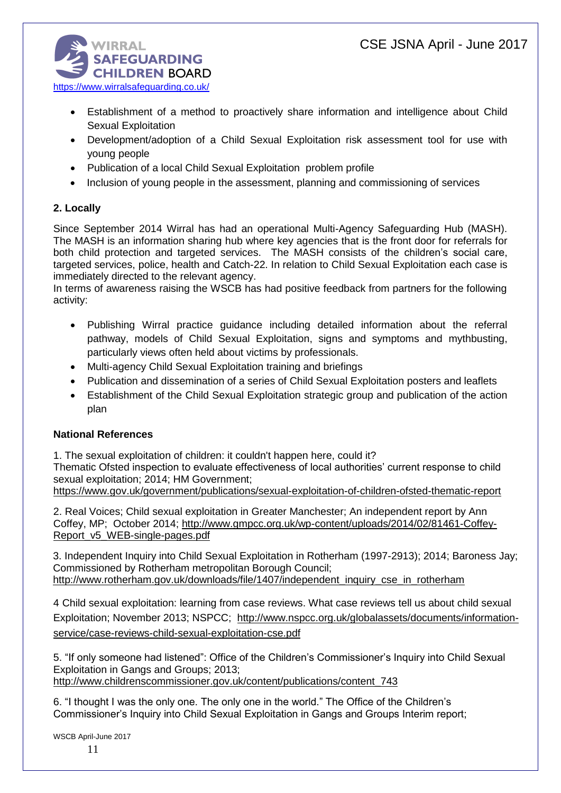

- Establishment of a method to proactively share information and intelligence about Child Sexual Exploitation
- Development/adoption of a Child Sexual Exploitation risk assessment tool for use with young people
- Publication of a local Child Sexual Exploitation problem profile
- Inclusion of young people in the assessment, planning and commissioning of services

# **2. Locally**

Since September 2014 Wirral has had an operational Multi-Agency Safeguarding Hub (MASH). The MASH is an information sharing hub where key agencies that is the front door for referrals for both child protection and targeted services. The MASH consists of the children's social care, targeted services, police, health and Catch-22. In relation to Child Sexual Exploitation each case is immediately directed to the relevant agency.

In terms of awareness raising the WSCB has had positive feedback from partners for the following activity:

- Publishing Wirral practice guidance including detailed information about the referral pathway, models of Child Sexual Exploitation, signs and symptoms and mythbusting, particularly views often held about victims by professionals.
- Multi-agency Child Sexual Exploitation training and briefings
- Publication and dissemination of a series of Child Sexual Exploitation posters and leaflets
- Establishment of the Child Sexual Exploitation strategic group and publication of the action plan

# **National References**

1. The sexual exploitation of children: it couldn't happen here, could it?

Thematic Ofsted inspection to evaluate effectiveness of local authorities' current response to child sexual exploitation; 2014; HM Government;

<https://www.gov.uk/government/publications/sexual-exploitation-of-children-ofsted-thematic-report>

2. Real Voices; Child sexual exploitation in Greater Manchester; An independent report by Ann Coffey, MP; October 2014; [http://www.gmpcc.org.uk/wp-content/uploads/2014/02/81461-Coffey-](http://www.gmpcc.org.uk/wp-content/uploads/2014/02/81461-Coffey-Report_v5_WEB-single-pages.pdf)[Report\\_v5\\_WEB-single-pages.pdf](http://www.gmpcc.org.uk/wp-content/uploads/2014/02/81461-Coffey-Report_v5_WEB-single-pages.pdf)

3. Independent Inquiry into Child Sexual Exploitation in Rotherham (1997-2913); 2014; Baroness Jay; Commissioned by Rotherham metropolitan Borough Council; [http://www.rotherham.gov.uk/downloads/file/1407/independent\\_inquiry\\_cse\\_in\\_rotherham](http://www.rotherham.gov.uk/downloads/file/1407/independent_inquiry_cse_in_rotherham)

4 Child sexual exploitation: learning from case reviews. What case reviews tell us about child sexual Exploitation; November 2013; NSPCC; [http://www.nspcc.org.uk/globalassets/documents/information](http://www.nspcc.org.uk/globalassets/documents/information-service/case-reviews-child-sexual-exploitation-cse.pdf)[service/case-reviews-child-sexual-exploitation-cse.pdf](http://www.nspcc.org.uk/globalassets/documents/information-service/case-reviews-child-sexual-exploitation-cse.pdf)

5. "If only someone had listened": Office of the Children's Commissioner's Inquiry into Child Sexual Exploitation in Gangs and Groups; 2013; [http://www.childrenscommissioner.gov.uk/content/publications/content\\_743](http://www.childrenscommissioner.gov.uk/content/publications/content_743)

6. "I thought I was the only one. The only one in the world." The Office of the Children's Commissioner's Inquiry into Child Sexual Exploitation in Gangs and Groups Interim report;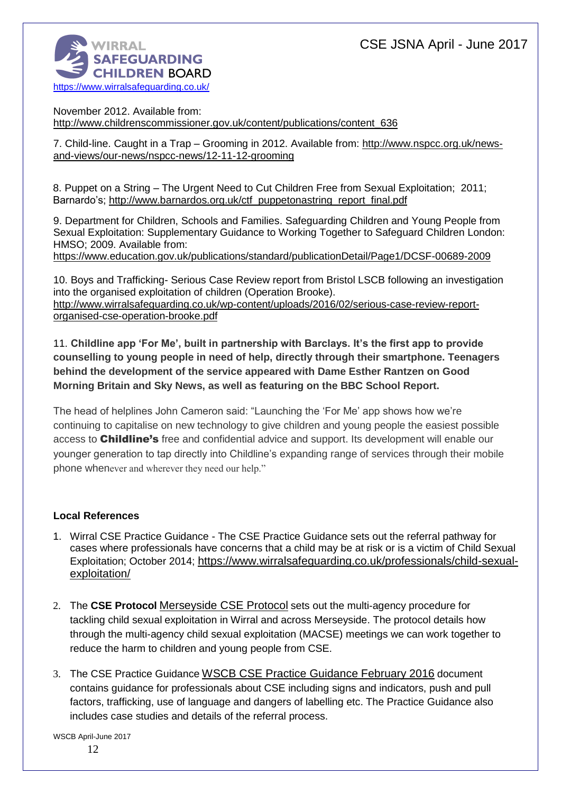

November 2012. Available from: [http://www.childrenscommissioner.gov.uk/content/publications/content\\_636](http://www.childrenscommissioner.gov.uk/content/publications/content_636)

7. Child-line. Caught in a Trap – Grooming in 2012. Available from: [http://www.nspcc.org.uk/news](http://www.nspcc.org.uk/news-and-views/our-news/nspcc-news/12-11-12-grooming)[and-views/our-news/nspcc-news/12-11-12-grooming](http://www.nspcc.org.uk/news-and-views/our-news/nspcc-news/12-11-12-grooming)

8. Puppet on a String – The Urgent Need to Cut Children Free from Sexual Exploitation; 2011; Barnardo's; [http://www.barnardos.org.uk/ctf\\_puppetonastring\\_report\\_final.pdf](http://www.barnardos.org.uk/ctf_puppetonastring_report_final.pdf)

9. Department for Children, Schools and Families. Safeguarding Children and Young People from Sexual Exploitation: Supplementary Guidance to Working Together to Safeguard Children London: HMSO; 2009. Available from:

<https://www.education.gov.uk/publications/standard/publicationDetail/Page1/DCSF-00689-2009>

10. Boys and Trafficking- Serious Case Review report from Bristol LSCB following an investigation into the organised exploitation of children (Operation Brooke). [http://www.wirralsafeguarding.co.uk/wp-content/uploads/2016/02/serious-case-review-report](http://www.wirralsafeguarding.co.uk/wp-content/uploads/2016/02/serious-case-review-report-organised-cse-operation-brooke.pdf)[organised-cse-operation-brooke.pdf](http://www.wirralsafeguarding.co.uk/wp-content/uploads/2016/02/serious-case-review-report-organised-cse-operation-brooke.pdf)

11. **Childline app 'For Me', built in partnership with Barclays. It's the first app to provide counselling to young people in need of help, directly through their smartphone. Teenagers behind the development of the service appeared with Dame Esther Rantzen on Good Morning Britain and Sky News, as well as featuring on the BBC School Report.**

The head of helplines John Cameron said: "Launching the 'For Me' app shows how we're continuing to capitalise on new technology to give children and young people the easiest possible access to **Childline's** free and confidential advice and support. Its development will enable our younger generation to tap directly into Childline's expanding range of services through their mobile phone whenever and wherever they need our help."

# **Local References**

- 1. Wirral CSE Practice Guidance The CSE Practice Guidance sets out the referral pathway for cases where professionals have concerns that a child may be at risk or is a victim of Child Sexual Exploitation; October 2014; [https://www.wirralsafeguarding.co.uk/professionals/child-sexual](https://www.wirralsafeguarding.co.uk/professionals/child-sexual-exploitation/)[exploitation/](https://www.wirralsafeguarding.co.uk/professionals/child-sexual-exploitation/)
- 2. The **CSE Protocol** [Merseyside CSE Protocol](http://www.wirralsafeguarding.co.uk/wp-content/uploads/2016/02/Merseyside-CSE-Protocol-1.pdf) sets out the multi-agency procedure for tackling child sexual exploitation in Wirral and across Merseyside. The protocol details how through the multi-agency child sexual exploitation (MACSE) meetings we can work together to reduce the harm to children and young people from CSE.
- 3. The CSE Practice Guidance [WSCB CSE Practice Guidance February 2016](http://www.wirralsafeguarding.co.uk/wp-content/uploads/2016/03/wscb-cse-practice-guidance-february-2016.pdf) document contains guidance for professionals about CSE including signs and indicators, push and pull factors, trafficking, use of language and dangers of labelling etc. The Practice Guidance also includes case studies and details of the referral process.